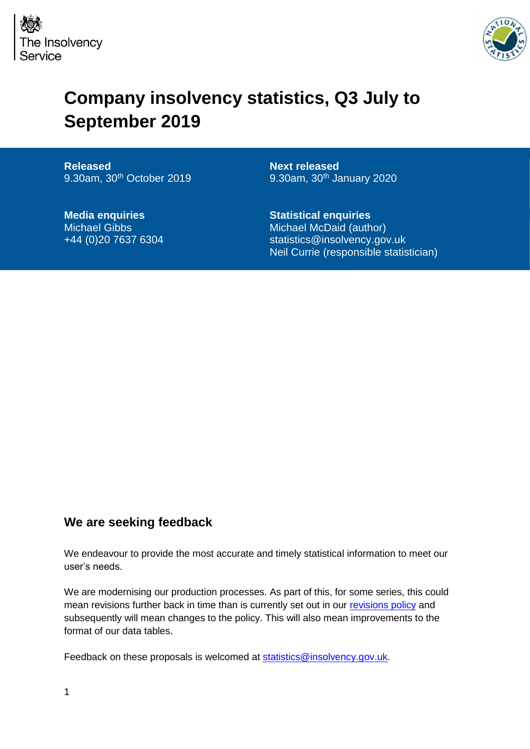



## **Company insolvency statistics, Q3 July to September 2019**

**Released** 9.30am, 30<sup>th</sup> October 2019

**Media enquiries** Michael Gibbs +44 (0)20 7637 6304 **Next released** 9.30am, 30<sup>th</sup> January 2020

**Statistical enquiries** Michael McDaid (author) statistics@insolvency.gov.uk Neil Currie (responsible statistician)

### **We are seeking feedback**

We endeavour to provide the most accurate and timely statistical information to meet our user's needs.

We are modernising our production processes. As part of this, for some series, this could mean revisions further back in time than is currently set out in our [revisions policy](https://www.gov.uk/government/publications/insolvency-statistics-policy-and-procedures) and subsequently will mean changes to the policy. This will also mean improvements to the format of our data tables.

Feedback on these proposals is welcomed at [statistics@insolvency.gov.uk.](mailto:statistics@insolvency.gov.uk)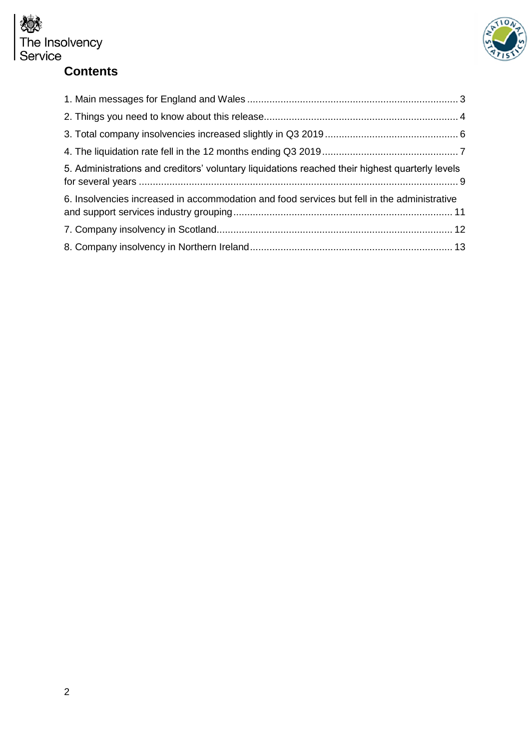

## **Contents**



| 5. Administrations and creditors' voluntary liquidations reached their highest quarterly levels |
|-------------------------------------------------------------------------------------------------|
| 6. Insolvencies increased in accommodation and food services but fell in the administrative     |
|                                                                                                 |
|                                                                                                 |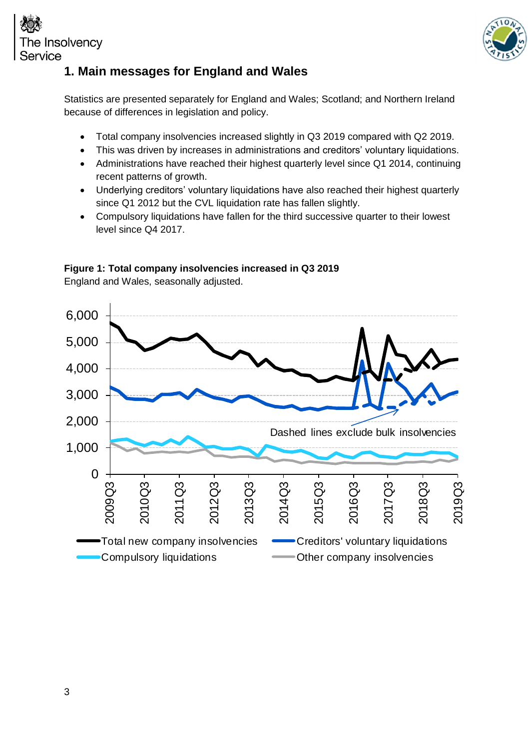



## <span id="page-2-0"></span>**1. Main messages for England and Wales**

Statistics are presented separately for England and Wales; Scotland; and Northern Ireland because of differences in legislation and policy.

- Total company insolvencies increased slightly in Q3 2019 compared with Q2 2019.
- This was driven by increases in administrations and creditors' voluntary liquidations.
- Administrations have reached their highest quarterly level since Q1 2014, continuing recent patterns of growth.
- Underlying creditors' voluntary liquidations have also reached their highest quarterly since Q1 2012 but the CVL liquidation rate has fallen slightly.
- Compulsory liquidations have fallen for the third successive quarter to their lowest level since Q4 2017.



#### **Figure 1: Total company insolvencies increased in Q3 2019**

England and Wales, seasonally adjusted.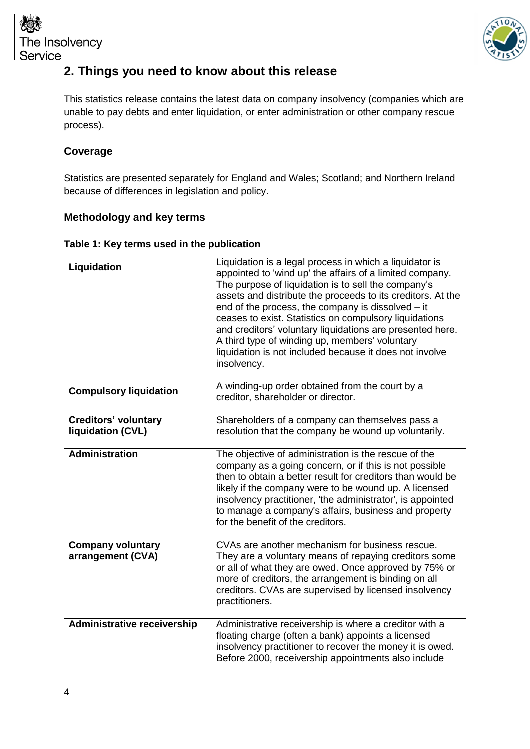



## <span id="page-3-0"></span>**2. Things you need to know about this release**

This statistics release contains the latest data on company insolvency (companies which are unable to pay debts and enter liquidation, or enter administration or other company rescue process).

#### **Coverage**

Statistics are presented separately for England and Wales; Scotland; and Northern Ireland because of differences in legislation and policy.

#### **Methodology and key terms**

| Table 1: Key terms used in the publication |  |  |  |  |
|--------------------------------------------|--|--|--|--|
|--------------------------------------------|--|--|--|--|

| Liquidation                                      | Liquidation is a legal process in which a liquidator is<br>appointed to 'wind up' the affairs of a limited company.<br>The purpose of liquidation is to sell the company's<br>assets and distribute the proceeds to its creditors. At the<br>end of the process, the company is dissolved - it<br>ceases to exist. Statistics on compulsory liquidations<br>and creditors' voluntary liquidations are presented here.<br>A third type of winding up, members' voluntary<br>liquidation is not included because it does not involve<br>insolvency. |
|--------------------------------------------------|---------------------------------------------------------------------------------------------------------------------------------------------------------------------------------------------------------------------------------------------------------------------------------------------------------------------------------------------------------------------------------------------------------------------------------------------------------------------------------------------------------------------------------------------------|
| <b>Compulsory liquidation</b>                    | A winding-up order obtained from the court by a<br>creditor, shareholder or director.                                                                                                                                                                                                                                                                                                                                                                                                                                                             |
| <b>Creditors' voluntary</b><br>liquidation (CVL) | Shareholders of a company can themselves pass a<br>resolution that the company be wound up voluntarily.                                                                                                                                                                                                                                                                                                                                                                                                                                           |
| <b>Administration</b>                            | The objective of administration is the rescue of the<br>company as a going concern, or if this is not possible<br>then to obtain a better result for creditors than would be<br>likely if the company were to be wound up. A licensed<br>insolvency practitioner, 'the administrator', is appointed<br>to manage a company's affairs, business and property<br>for the benefit of the creditors.                                                                                                                                                  |
| <b>Company voluntary</b><br>arrangement (CVA)    | CVAs are another mechanism for business rescue.<br>They are a voluntary means of repaying creditors some<br>or all of what they are owed. Once approved by 75% or<br>more of creditors, the arrangement is binding on all<br>creditors. CVAs are supervised by licensed insolvency<br>practitioners.                                                                                                                                                                                                                                              |
| <b>Administrative receivership</b>               | Administrative receivership is where a creditor with a<br>floating charge (often a bank) appoints a licensed<br>insolvency practitioner to recover the money it is owed.<br>Before 2000, receivership appointments also include                                                                                                                                                                                                                                                                                                                   |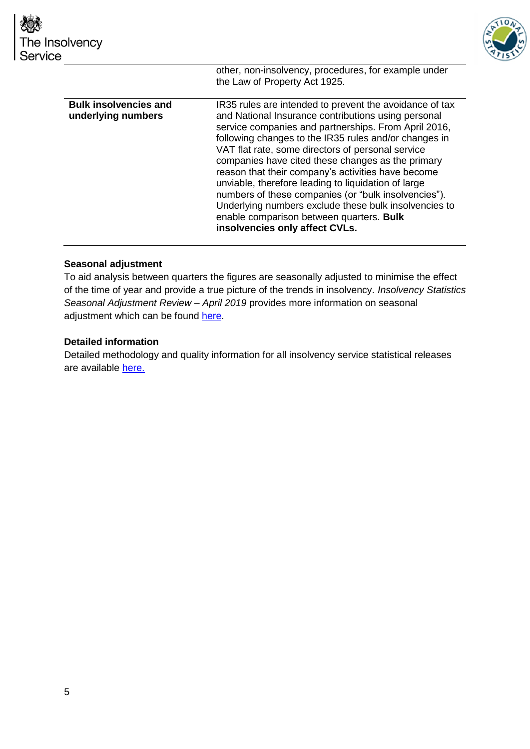

|                                                    | the Law of Property Act 1925.                                                                                                                                                                                                                                                                                                                                                                                                                                                                                                                                                                                                                         |
|----------------------------------------------------|-------------------------------------------------------------------------------------------------------------------------------------------------------------------------------------------------------------------------------------------------------------------------------------------------------------------------------------------------------------------------------------------------------------------------------------------------------------------------------------------------------------------------------------------------------------------------------------------------------------------------------------------------------|
| <b>Bulk insolvencies and</b><br>underlying numbers | IR35 rules are intended to prevent the avoidance of tax<br>and National Insurance contributions using personal<br>service companies and partnerships. From April 2016,<br>following changes to the IR35 rules and/or changes in<br>VAT flat rate, some directors of personal service<br>companies have cited these changes as the primary<br>reason that their company's activities have become<br>unviable, therefore leading to liquidation of large<br>numbers of these companies (or "bulk insolvencies").<br>Underlying numbers exclude these bulk insolvencies to<br>enable comparison between quarters. Bulk<br>insolvencies only affect CVLs. |

other, non-insolvency, procedures, for example under

#### **Seasonal adjustment**

To aid analysis between quarters the figures are seasonally adjusted to minimise the effect of the time of year and provide a true picture of the trends in insolvency. *Insolvency Statistics Seasonal Adjustment Review – April 2019* provides more information on seasonal adjustment which can be found [here.](https://www.gov.uk/government/publications/insolvency-statistics-policy-and-procedures)

#### **Detailed information**

Detailed methodology and quality information for all insolvency service statistical releases are available [here.](https://www.gov.uk/government/publications/insolvency-statistics-policy-and-procedures)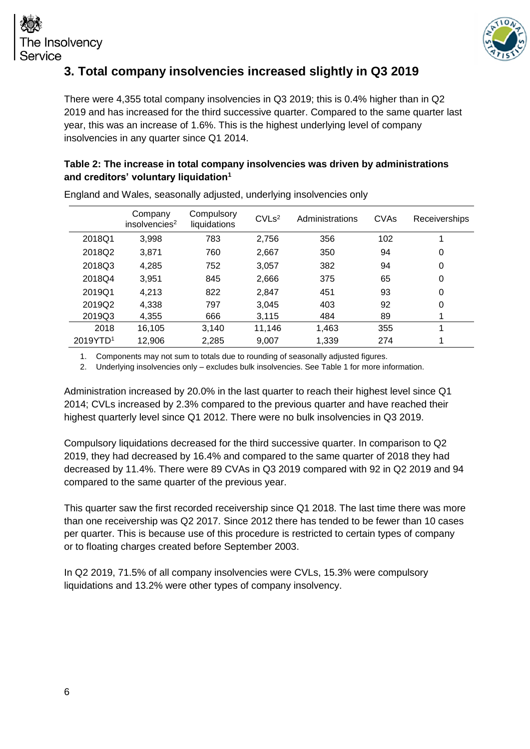

## <span id="page-5-0"></span>**3. Total company insolvencies increased slightly in Q3 2019**

There were 4,355 total company insolvencies in Q3 2019; this is 0.4% higher than in Q2 2019 and has increased for the third successive quarter. Compared to the same quarter last year, this was an increase of 1.6%. This is the highest underlying level of company insolvencies in any quarter since Q1 2014.

#### **Table 2: The increase in total company insolvencies was driven by administrations and creditors' voluntary liquidation<sup>1</sup>**

|                      | Company<br>insolvencies <sup>2</sup> | Compulsory<br>liquidations | CVLs <sup>2</sup> | Administrations | <b>CVAs</b> | <b>Receiverships</b> |
|----------------------|--------------------------------------|----------------------------|-------------------|-----------------|-------------|----------------------|
| 2018Q1               | 3,998                                | 783                        | 2,756             | 356             | 102         |                      |
| 2018Q2               | 3,871                                | 760                        | 2,667             | 350             | 94          | 0                    |
| 2018Q3               | 4,285                                | 752                        | 3,057             | 382             | 94          | 0                    |
| 2018Q4               | 3,951                                | 845                        | 2,666             | 375             | 65          | 0                    |
| 2019Q1               | 4,213                                | 822                        | 2,847             | 451             | 93          | 0                    |
| 2019Q2               | 4.338                                | 797                        | 3,045             | 403             | 92          | 0                    |
| 2019Q3               | 4,355                                | 666                        | 3,115             | 484             | 89          |                      |
| 2018                 | 16,105                               | 3,140                      | 11,146            | 1,463           | 355         |                      |
| 2019YTD <sup>1</sup> | 12,906                               | 2,285                      | 9,007             | 1,339           | 274         |                      |

England and Wales, seasonally adjusted, underlying insolvencies only

1. Components may not sum to totals due to rounding of seasonally adjusted figures.

2. Underlying insolvencies only – excludes bulk insolvencies. See Table 1 for more information.

Administration increased by 20.0% in the last quarter to reach their highest level since Q1 2014; CVLs increased by 2.3% compared to the previous quarter and have reached their highest quarterly level since Q1 2012. There were no bulk insolvencies in Q3 2019.

Compulsory liquidations decreased for the third successive quarter. In comparison to Q2 2019, they had decreased by 16.4% and compared to the same quarter of 2018 they had decreased by 11.4%. There were 89 CVAs in Q3 2019 compared with 92 in Q2 2019 and 94 compared to the same quarter of the previous year.

This quarter saw the first recorded receivership since Q1 2018. The last time there was more than one receivership was Q2 2017. Since 2012 there has tended to be fewer than 10 cases per quarter. This is because use of this procedure is restricted to certain types of company or to floating charges created before September 2003.

In Q2 2019, 71.5% of all company insolvencies were CVLs, 15.3% were compulsory liquidations and 13.2% were other types of company insolvency.

Insolvency

Service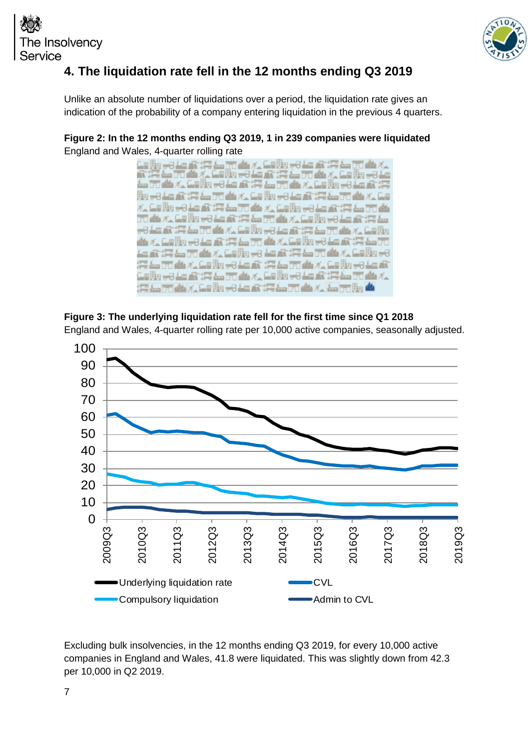



## <span id="page-6-0"></span>**4. The liquidation rate fell in the 12 months ending Q3 2019**

Unlike an absolute number of liquidations over a period, the liquidation rate gives an indication of the probability of a company entering liquidation in the previous 4 quarters.

**Figure 2: In the 12 months ending Q3 2019, 1 in 239 companies were liquidated**  England and Wales, 4-quarter rolling rate







Excluding bulk insolvencies, in the 12 months ending Q3 2019, for every 10,000 active companies in England and Wales, 41.8 were liquidated. This was slightly down from 42.3 per 10,000 in Q2 2019.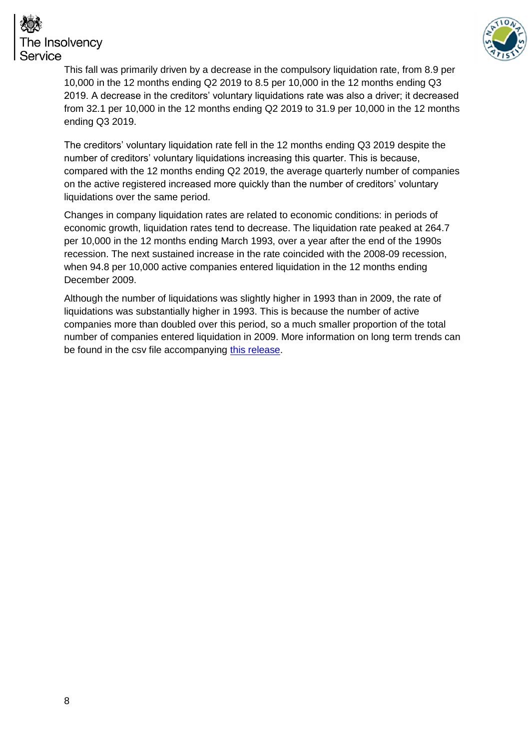

# e Insolvency Service

This fall was primarily driven by a decrease in the compulsory liquidation rate, from 8.9 per 10,000 in the 12 months ending Q2 2019 to 8.5 per 10,000 in the 12 months ending Q3 2019. A decrease in the creditors' voluntary liquidations rate was also a driver; it decreased from 32.1 per 10,000 in the 12 months ending Q2 2019 to 31.9 per 10,000 in the 12 months ending Q3 2019.

The creditors' voluntary liquidation rate fell in the 12 months ending Q3 2019 despite the number of creditors' voluntary liquidations increasing this quarter. This is because, compared with the 12 months ending Q2 2019, the average quarterly number of companies on the active registered increased more quickly than the number of creditors' voluntary liquidations over the same period.

Changes in company liquidation rates are related to economic conditions: in periods of economic growth, liquidation rates tend to decrease. The liquidation rate peaked at 264.7 per 10,000 in the 12 months ending March 1993, over a year after the end of the 1990s recession. The next sustained increase in the rate coincided with the 2008-09 recession, when 94.8 per 10,000 active companies entered liquidation in the 12 months ending December 2009.

Although the number of liquidations was slightly higher in 1993 than in 2009, the rate of liquidations was substantially higher in 1993. This is because the number of active companies more than doubled over this period, so a much smaller proportion of the total number of companies entered liquidation in 2009. More information on long term trends can be found in the csv file accompanying [this release.](https://www.gov.uk/government/statistics/company-insolvency-statistics-january-to-march-2019)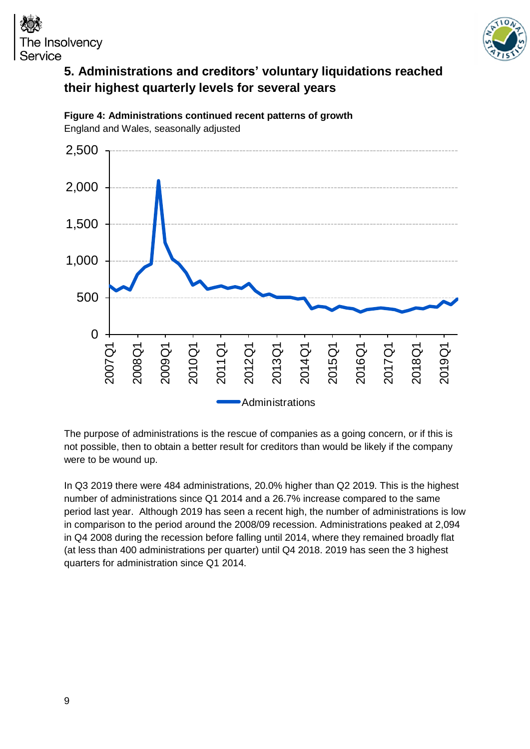

## The Insolvency Service **5. Administrations and creditors' voluntary liquidations reached**

<span id="page-8-0"></span>**their highest quarterly levels for several years**



**Figure 4: Administrations continued recent patterns of growth** England and Wales, seasonally adjusted

The purpose of administrations is the rescue of companies as a going concern, or if this is not possible, then to obtain a better result for creditors than would be likely if the company were to be wound up.

In Q3 2019 there were 484 administrations, 20.0% higher than Q2 2019. This is the highest number of administrations since Q1 2014 and a 26.7% increase compared to the same period last year. Although 2019 has seen a recent high, the number of administrations is low in comparison to the period around the 2008/09 recession. Administrations peaked at 2,094 in Q4 2008 during the recession before falling until 2014, where they remained broadly flat (at less than 400 administrations per quarter) until Q4 2018. 2019 has seen the 3 highest quarters for administration since Q1 2014.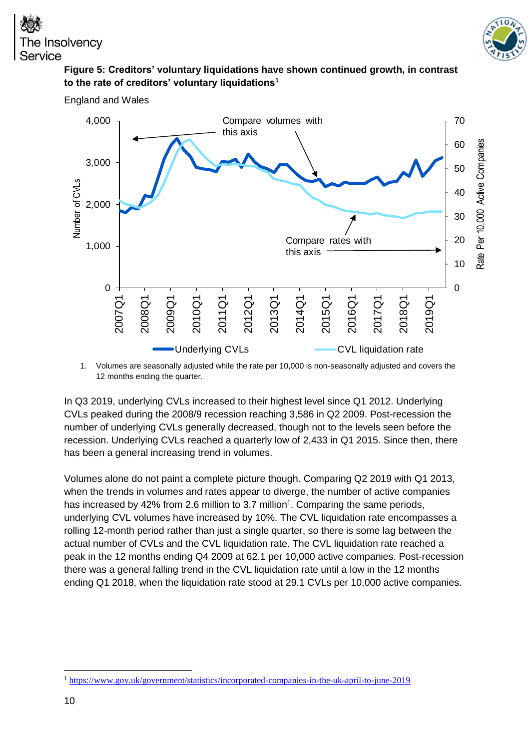England and Wales



#### **Figure 5: Creditors' voluntary liquidations have shown continued growth, in contrast to the rate of creditors' voluntary liquidations<sup>1</sup>**



1. Volumes are seasonally adjusted while the rate per 10,000 is non-seasonally adjusted and covers the 12 months ending the quarter.

In Q3 2019, underlying CVLs increased to their highest level since Q1 2012. Underlying CVLs peaked during the 2008/9 recession reaching 3,586 in Q2 2009. Post-recession the number of underlying CVLs generally decreased, though not to the levels seen before the recession. Underlying CVLs reached a quarterly low of 2,433 in Q1 2015. Since then, there has been a general increasing trend in volumes.

Volumes alone do not paint a complete picture though. Comparing Q2 2019 with Q1 2013, when the trends in volumes and rates appear to diverge, the number of active companies has increased by 42% from 2.6 million to 3.7 million<sup>1</sup>. Comparing the same periods, underlying CVL volumes have increased by 10%. The CVL liquidation rate encompasses a rolling 12-month period rather than just a single quarter, so there is some lag between the actual number of CVLs and the CVL liquidation rate. The CVL liquidation rate reached a peak in the 12 months ending Q4 2009 at 62.1 per 10,000 active companies. Post-recession there was a general falling trend in the CVL liquidation rate until a low in the 12 months ending Q1 2018, when the liquidation rate stood at 29.1 CVLs per 10,000 active companies.

-

<sup>1</sup> <https://www.gov.uk/government/statistics/incorporated-companies-in-the-uk-april-to-june-2019>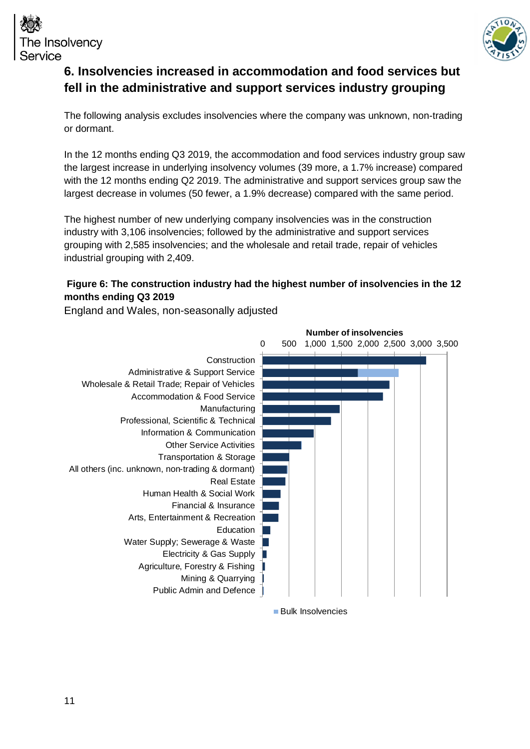



## <span id="page-10-0"></span>**6. Insolvencies increased in accommodation and food services but fell in the administrative and support services industry grouping**

The following analysis excludes insolvencies where the company was unknown, non-trading or dormant.

In the 12 months ending Q3 2019, the accommodation and food services industry group saw the largest increase in underlying insolvency volumes (39 more, a 1.7% increase) compared with the 12 months ending Q2 2019. The administrative and support services group saw the largest decrease in volumes (50 fewer, a 1.9% decrease) compared with the same period.

The highest number of new underlying company insolvencies was in the construction industry with 3,106 insolvencies; followed by the administrative and support services grouping with 2,585 insolvencies; and the wholesale and retail trade, repair of vehicles industrial grouping with 2,409.

#### **Figure 6: The construction industry had the highest number of insolvencies in the 12 months ending Q3 2019**

England and Wales, non-seasonally adjusted

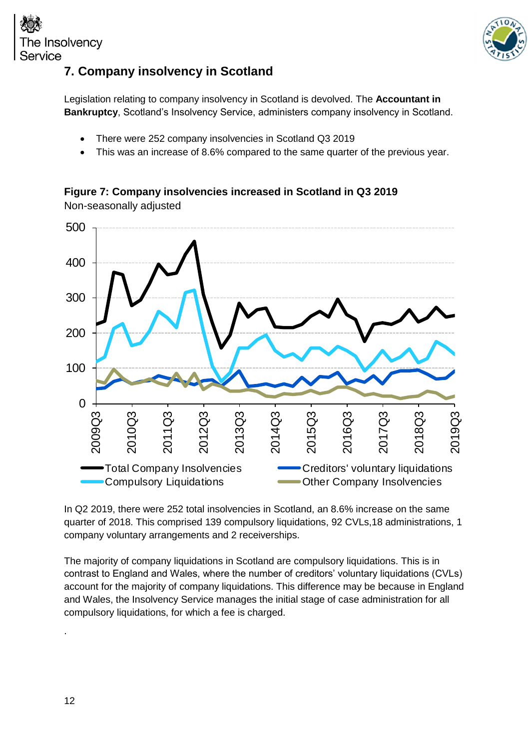



## <span id="page-11-0"></span>**7. Company insolvency in Scotland**

Legislation relating to company insolvency in Scotland is devolved. The **[Accountant in](http://www.aib.gov.uk/)  [Bankruptcy](http://www.aib.gov.uk/)**, Scotland's Insolvency Service, administers company insolvency in Scotland.

- There were 252 company insolvencies in Scotland Q3 2019
- This was an increase of 8.6% compared to the same quarter of the previous year.

### **Figure 7: Company insolvencies increased in Scotland in Q3 2019**

Non-seasonally adjusted



In Q2 2019, there were 252 total insolvencies in Scotland, an 8.6% increase on the same quarter of 2018. This comprised 139 compulsory liquidations, 92 CVLs,18 administrations, 1 company voluntary arrangements and 2 receiverships.

The majority of company liquidations in Scotland are compulsory liquidations. This is in contrast to England and Wales, where the number of creditors' voluntary liquidations (CVLs) account for the majority of company liquidations. This difference may be because in England and Wales, the Insolvency Service manages the initial stage of case administration for all compulsory liquidations, for which a fee is charged.

.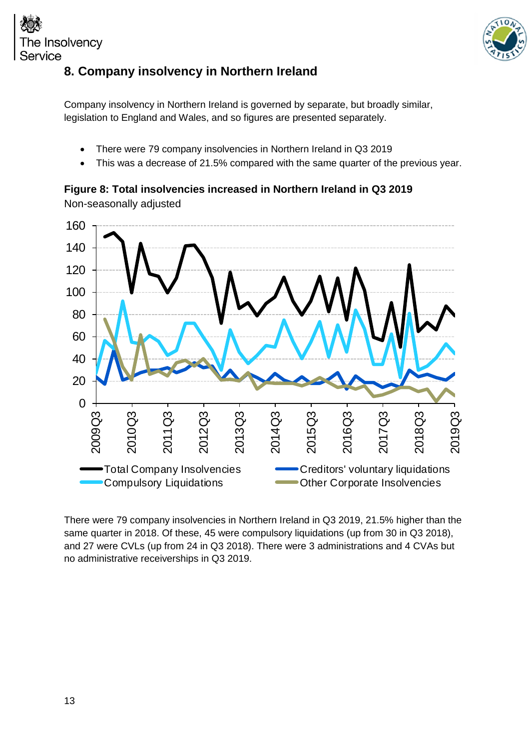



## <span id="page-12-0"></span>**8. Company insolvency in Northern Ireland**

Company insolvency in Northern Ireland is governed by separate, but broadly similar, legislation to England and Wales, and so figures are presented separately.

- There were 79 company insolvencies in Northern Ireland in Q3 2019
- This was a decrease of 21.5% compared with the same quarter of the previous year.

## **Figure 8: Total insolvencies increased in Northern Ireland in Q3 2019**

Non-seasonally adjusted



There were 79 company insolvencies in Northern Ireland in Q3 2019, 21.5% higher than the same quarter in 2018. Of these, 45 were compulsory liquidations (up from 30 in Q3 2018), and 27 were CVLs (up from 24 in Q3 2018). There were 3 administrations and 4 CVAs but no administrative receiverships in Q3 2019.